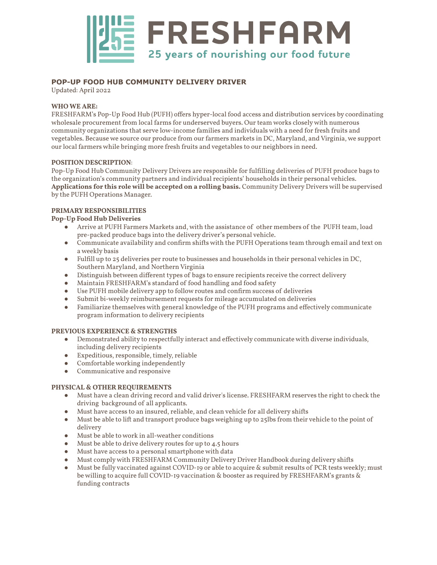

# **POP-UP FOOD HUB COMMUNITY DELIVERY DRIVER**

Updated: April 2022

### **WHO WE ARE:**

FRESHFARM's Pop-Up Food Hub (PUFH) offers hyper-local food access and distribution services by coordinating wholesale procurement from local farms for underserved buyers. Our team works closelywith numerous community organizations that serve low-income families and individuals with a need for fresh fruits and vegetables. Because we source our produce from our farmers markets in DC, Maryland, and Virginia, we support our local farmers while bringing more fresh fruits and vegetables to our neighbors in need.

#### **POSITION DESCRIPTION**:

Pop-Up Food Hub Community Delivery Drivers are responsible for fulfilling deliveries of PUFH produce bags to the organization's community partners and individual recipients' households in their personal vehicles. **Applications for this role will be accepted on a rolling basis.** Community Delivery Drivers will be supervised by the PUFH Operations Manager.

#### **PRIMARY RESPONSIBILITIES**

#### **Pop-Up Food Hub Deliveries**

- Arrive at PUFH Farmers Markets and, with the assistance of other members of the PUFH team, load pre-packed produce bags into the delivery driver's personal vehicle.
- Communicate availability and confirm shifts with the PUFH Operations team through email and text on a weekly basis
- Fulfill up to 25 deliveries per route to businesses and households in their personal vehicles in DC, Southern Maryland, and Northern Virginia
- Distinguish between different types of bags to ensure recipients receive the correct delivery
- Maintain FRESHFARM's standard of food handling and food safety
- Use PUFH mobile delivery app to follow routes and confirm success of deliveries
- Submit bi-weekly reimbursement requests for mileage accumulated on deliveries
- Familiarize themselves with general knowledge of the PUFH programs and effectively communicate program information to delivery recipients

#### **PREVIOUS EXPERIENCE & STRENGTHS**

- Demonstrated ability to respectfully interact and effectively communicate with diverse individuals, including delivery recipients
- Expeditious, responsible, timely, reliable
- Comfortable working independently
- Communicative and responsive

#### **PHYSICAL & OTHER REQUIREMENTS**

- Must have a clean driving record and valid driver's license. FRESHFARM reserves the right to check the driving background of all applicants.
- Must have access to an insured, reliable, and clean vehicle for all delivery shifts
- Must be able to lift and transport produce bags weighing up to 25lbs from their vehicle to the point of delivery
- Must be able to work in all-weather conditions
- Must be able to drive delivery routes for up to 4.5 hours
- Must have access to a personal smartphone with data
- Must complywith FRESHFARM Community Delivery Driver Handbook during delivery shifts
- Must be fully vaccinated against COVID-19 or able to acquire & submit results of PCR tests weekly; must be willing to acquire full COVID-19 vaccination & booster as required by FRESHFARM's grants & funding contracts